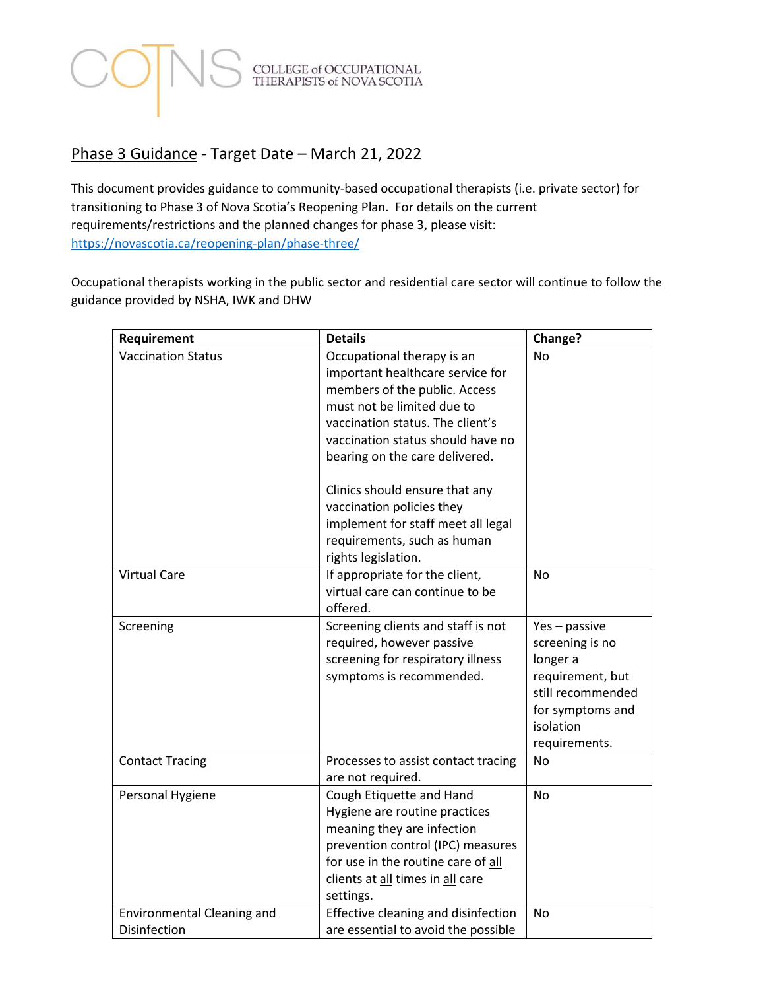

## Phase 3 Guidance - Target Date – March 21, 2022

This document provides guidance to community-based occupational therapists (i.e. private sector) for transitioning to Phase 3 of Nova Scotia's Reopening Plan. For details on the current requirements/restrictions and the planned changes for phase 3, please visit: <https://novascotia.ca/reopening-plan/phase-three/>

Occupational therapists working in the public sector and residential care sector will continue to follow the guidance provided by NSHA, IWK and DHW

| Requirement                                       | <b>Details</b>                                                                                                                                                                                                                                                                                                                                                                                      | Change?                                                                                                                                   |
|---------------------------------------------------|-----------------------------------------------------------------------------------------------------------------------------------------------------------------------------------------------------------------------------------------------------------------------------------------------------------------------------------------------------------------------------------------------------|-------------------------------------------------------------------------------------------------------------------------------------------|
| <b>Vaccination Status</b>                         | Occupational therapy is an<br>important healthcare service for<br>members of the public. Access<br>must not be limited due to<br>vaccination status. The client's<br>vaccination status should have no<br>bearing on the care delivered.<br>Clinics should ensure that any<br>vaccination policies they<br>implement for staff meet all legal<br>requirements, such as human<br>rights legislation. | No                                                                                                                                        |
| <b>Virtual Care</b>                               | If appropriate for the client,<br>virtual care can continue to be<br>offered.                                                                                                                                                                                                                                                                                                                       | No.                                                                                                                                       |
| Screening                                         | Screening clients and staff is not<br>required, however passive<br>screening for respiratory illness<br>symptoms is recommended.                                                                                                                                                                                                                                                                    | $Yes - passive$<br>screening is no<br>longer a<br>requirement, but<br>still recommended<br>for symptoms and<br>isolation<br>requirements. |
| <b>Contact Tracing</b>                            | Processes to assist contact tracing<br>are not required.                                                                                                                                                                                                                                                                                                                                            | No                                                                                                                                        |
| Personal Hygiene                                  | Cough Etiquette and Hand<br>Hygiene are routine practices<br>meaning they are infection<br>prevention control (IPC) measures<br>for use in the routine care of all<br>clients at all times in all care<br>settings.                                                                                                                                                                                 | <b>No</b>                                                                                                                                 |
| <b>Environmental Cleaning and</b><br>Disinfection | Effective cleaning and disinfection<br>are essential to avoid the possible                                                                                                                                                                                                                                                                                                                          | No                                                                                                                                        |